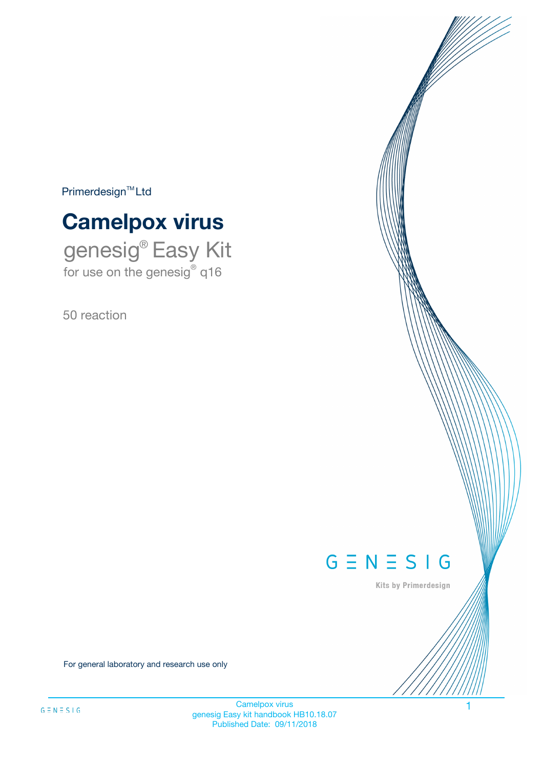$Primerdesign^{\text{TM}}Ltd$ 

# **Camelpox virus**

genesig® Easy Kit for use on the genesig® q16

50 reaction



Kits by Primerdesign

For general laboratory and research use only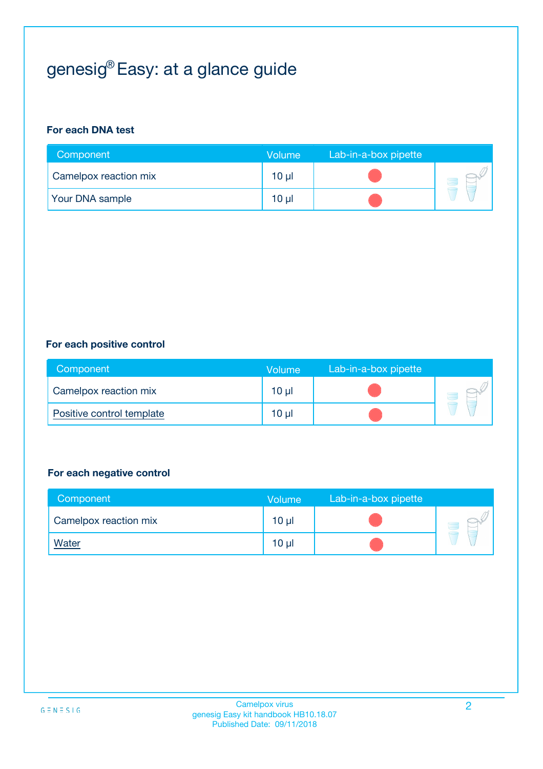# genesig® Easy: at a glance guide

#### **For each DNA test**

| Component              | <b>Volume</b> | Lab-in-a-box pipette |  |
|------------------------|---------------|----------------------|--|
| Camelpox reaction mix  | 10 µl         |                      |  |
| <b>Your DNA sample</b> | $10 \mu$      |                      |  |

#### **For each positive control**

| Component                 | Volume          | Lab-in-a-box pipette |  |
|---------------------------|-----------------|----------------------|--|
| Camelpox reaction mix     | 10 <sub>µ</sub> |                      |  |
| Positive control template | 10 <sub>µ</sub> |                      |  |

#### **For each negative control**

| Component             | Volume          | Lab-in-a-box pipette |  |
|-----------------------|-----------------|----------------------|--|
| Camelpox reaction mix | 10 <sub>µ</sub> |                      |  |
| <u>Water</u>          | 10 <sub>µ</sub> |                      |  |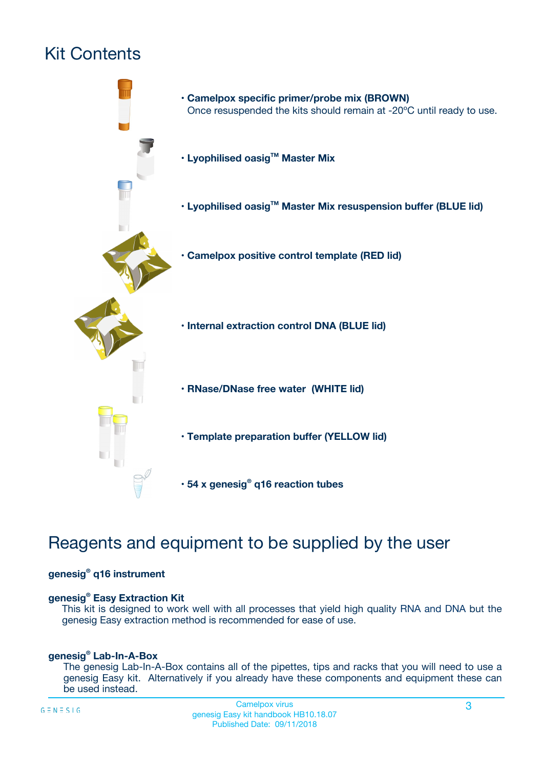# Kit Contents



## Reagents and equipment to be supplied by the user

#### **genesig® q16 instrument**

#### **genesig® Easy Extraction Kit**

This kit is designed to work well with all processes that yield high quality RNA and DNA but the genesig Easy extraction method is recommended for ease of use.

#### **genesig® Lab-In-A-Box**

The genesig Lab-In-A-Box contains all of the pipettes, tips and racks that you will need to use a genesig Easy kit. Alternatively if you already have these components and equipment these can be used instead.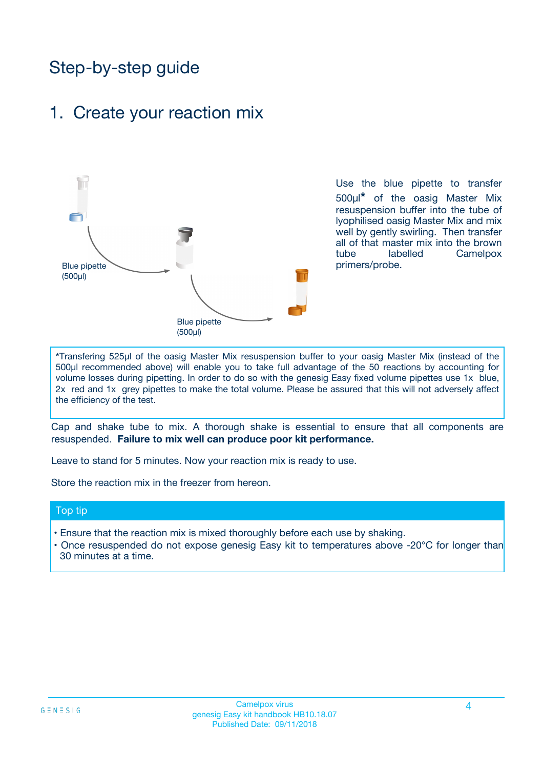## Step-by-step guide

### 1. Create your reaction mix



Use the blue pipette to transfer 500µl**\*** of the oasig Master Mix resuspension buffer into the tube of lyophilised oasig Master Mix and mix well by gently swirling. Then transfer all of that master mix into the brown tube labelled Camelpox primers/probe.

**\***Transfering 525µl of the oasig Master Mix resuspension buffer to your oasig Master Mix (instead of the 500µl recommended above) will enable you to take full advantage of the 50 reactions by accounting for volume losses during pipetting. In order to do so with the genesig Easy fixed volume pipettes use 1x blue, 2x red and 1x grey pipettes to make the total volume. Please be assured that this will not adversely affect the efficiency of the test.

Cap and shake tube to mix. A thorough shake is essential to ensure that all components are resuspended. **Failure to mix well can produce poor kit performance.**

Leave to stand for 5 minutes. Now your reaction mix is ready to use.

Store the reaction mix in the freezer from hereon.

#### Top tip

- Ensure that the reaction mix is mixed thoroughly before each use by shaking.
- Once resuspended do not expose genesig Easy kit to temperatures above -20°C for longer than 30 minutes at a time.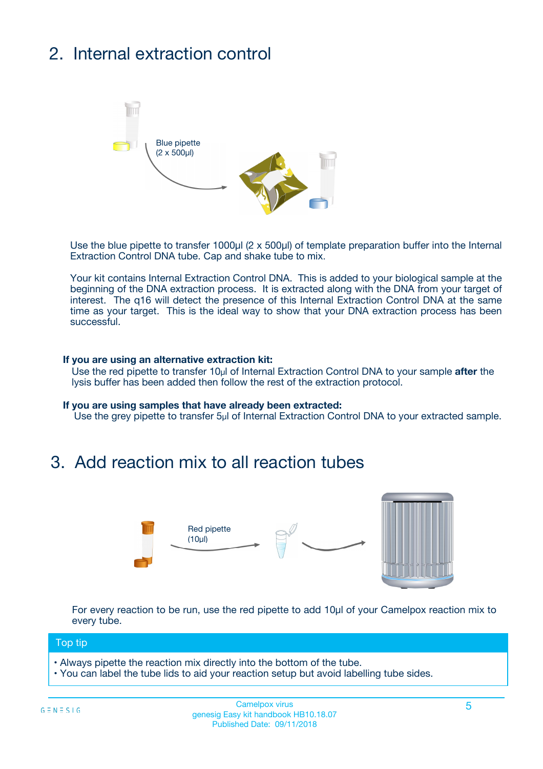# 2. Internal extraction control



Use the blue pipette to transfer 1000µl (2 x 500µl) of template preparation buffer into the Internal Extraction Control DNA tube. Cap and shake tube to mix.

Your kit contains Internal Extraction Control DNA. This is added to your biological sample at the beginning of the DNA extraction process. It is extracted along with the DNA from your target of interest. The q16 will detect the presence of this Internal Extraction Control DNA at the same time as your target. This is the ideal way to show that your DNA extraction process has been successful.

#### **If you are using an alternative extraction kit:**

Use the red pipette to transfer 10µl of Internal Extraction Control DNA to your sample **after** the lysis buffer has been added then follow the rest of the extraction protocol.

#### **If you are using samples that have already been extracted:**

Use the grey pipette to transfer 5µl of Internal Extraction Control DNA to your extracted sample.

### 3. Add reaction mix to all reaction tubes



For every reaction to be run, use the red pipette to add 10µl of your Camelpox reaction mix to every tube.

#### Top tip

- Always pipette the reaction mix directly into the bottom of the tube.
- You can label the tube lids to aid your reaction setup but avoid labelling tube sides.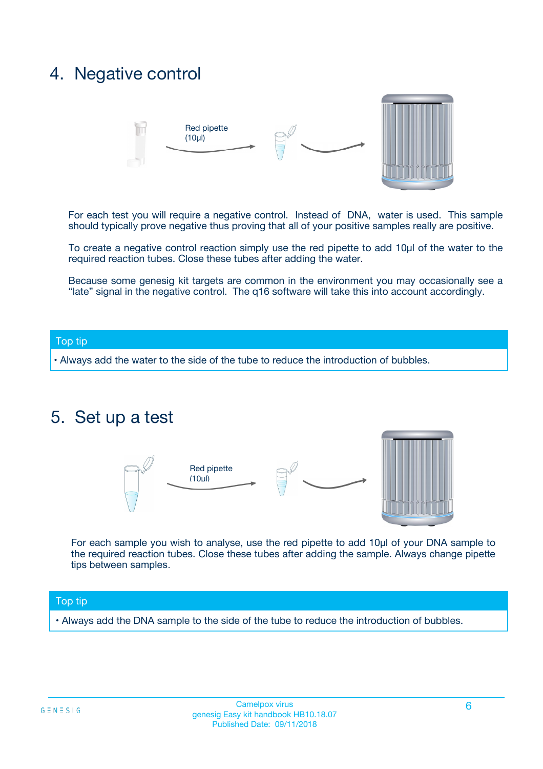### 4. Negative control



For each test you will require a negative control. Instead of DNA, water is used. This sample should typically prove negative thus proving that all of your positive samples really are positive.

To create a negative control reaction simply use the red pipette to add 10µl of the water to the required reaction tubes. Close these tubes after adding the water.

Because some genesig kit targets are common in the environment you may occasionally see a "late" signal in the negative control. The q16 software will take this into account accordingly.

#### Top tip

**•** Always add the water to the side of the tube to reduce the introduction of bubbles.

### 5. Set up a test



For each sample you wish to analyse, use the red pipette to add 10µl of your DNA sample to the required reaction tubes. Close these tubes after adding the sample. Always change pipette tips between samples.

#### Top tip

**•** Always add the DNA sample to the side of the tube to reduce the introduction of bubbles.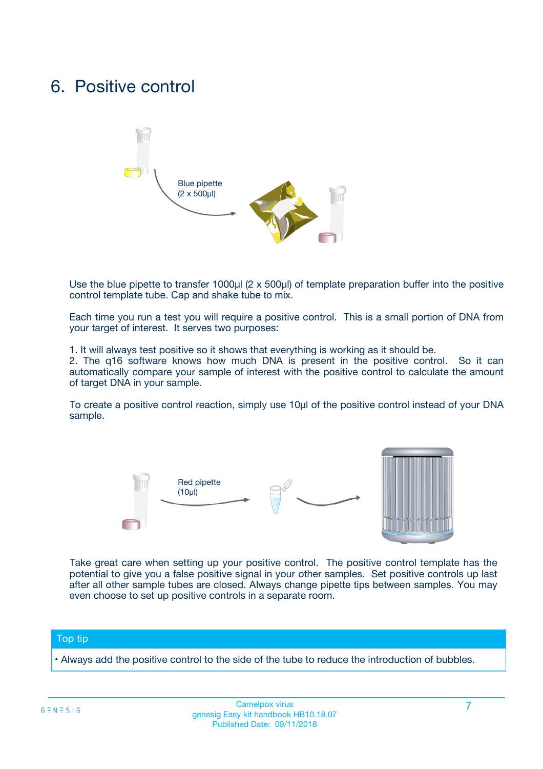### 6. Positive control



Use the blue pipette to transfer 1000µl (2 x 500µl) of template preparation buffer into the positive control template tube. Cap and shake tube to mix.

Each time you run a test you will require a positive control. This is a small portion of DNA from your target of interest. It serves two purposes:

1. It will always test positive so it shows that everything is working as it should be.

2. The q16 software knows how much DNA is present in the positive control. So it can automatically compare your sample of interest with the positive control to calculate the amount of target DNA in your sample.

To create a positive control reaction, simply use 10µl of the positive control instead of your DNA sample.



Take great care when setting up your positive control. The positive control template has the potential to give you a false positive signal in your other samples. Set positive controls up last after all other sample tubes are closed. Always change pipette tips between samples. You may even choose to set up positive controls in a separate room.

#### Top tip

**•** Always add the positive control to the side of the tube to reduce the introduction of bubbles.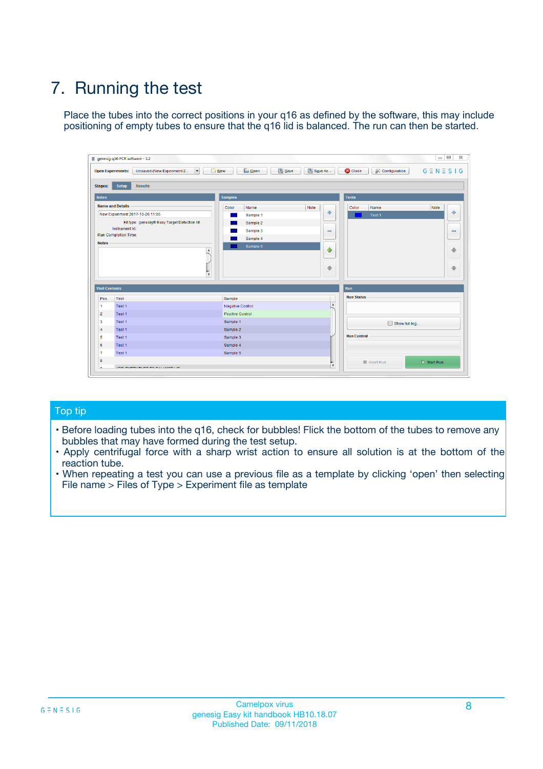# 7. Running the test

Place the tubes into the correct positions in your q16 as defined by the software, this may include positioning of empty tubes to ensure that the q16 lid is balanced. The run can then be started.

| genesig q16 PCR software - 1.2                                               |                                     | $\Box$                                                                                  |
|------------------------------------------------------------------------------|-------------------------------------|-----------------------------------------------------------------------------------------|
| Unsaved (New Experiment 2<br>$\vert \cdot \vert$<br><b>Open Experiments:</b> | <b>D</b> Open<br>Save<br>$\Box$ New | Save As<br><b>C</b> Close<br>$G \equiv N \equiv S \mid G$<br><b>&amp; Configuration</b> |
| Setup<br><b>Results</b><br><b>Stages:</b>                                    |                                     |                                                                                         |
| <b>Notes</b>                                                                 | Samples                             | <b>Tests</b>                                                                            |
| <b>Name and Details</b>                                                      | Color<br>Name                       | Note<br>Color<br>Note<br>Name                                                           |
| New Experiment 2017-10-26 11:06                                              | Sample 1                            | ع<br>条<br>Test 1                                                                        |
| Kit type: genesig® Easy Target Detection kit                                 | Sample 2                            |                                                                                         |
| Instrument Id.:                                                              | Sample 3                            | $\qquad \qquad \blacksquare$<br>$\qquad \qquad \blacksquare$                            |
| Run Completion Time:                                                         | Sample 4                            |                                                                                         |
| <b>Notes</b>                                                                 | Sample 5<br>A<br>v                  | $\triangle$<br>4<br>$\oplus$<br>₩                                                       |
| <b>Well Contents</b>                                                         |                                     | <b>Run</b>                                                                              |
| Pos.<br>Test                                                                 | Sample                              | <b>Run Status</b>                                                                       |
| Test 1<br>-1                                                                 | <b>Negative Control</b>             | $\blacktriangle$                                                                        |
| $\overline{2}$<br>Test 1                                                     | <b>Positive Control</b>             |                                                                                         |
| $\overline{\mathbf{3}}$<br>Test 1                                            | Sample 1                            | Show full log                                                                           |
| Test 1<br>$\overline{4}$                                                     | Sample 2                            |                                                                                         |
| 5<br>Test 1                                                                  | Sample 3                            | <b>Run Control</b>                                                                      |
| 6<br>Test 1                                                                  | Sample 4                            |                                                                                         |
| $\overline{7}$<br>Test 1                                                     | Sample 5                            |                                                                                         |
| 8                                                                            |                                     | $\triangleright$ Start Run<br>Abort Run                                                 |
| <b>JOD FURTY TUDE TO BUILDED IN</b>                                          |                                     | $\overline{\mathbf{v}}$                                                                 |

#### Top tip

- Before loading tubes into the q16, check for bubbles! Flick the bottom of the tubes to remove any bubbles that may have formed during the test setup.
- Apply centrifugal force with a sharp wrist action to ensure all solution is at the bottom of the reaction tube.
- When repeating a test you can use a previous file as a template by clicking 'open' then selecting File name > Files of Type > Experiment file as template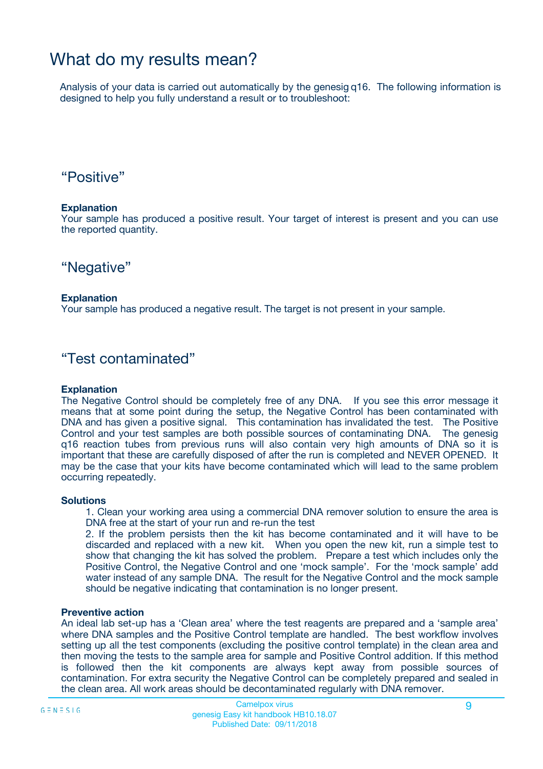## What do my results mean?

Analysis of your data is carried out automatically by the genesig q16. The following information is designed to help you fully understand a result or to troubleshoot:

### "Positive"

#### **Explanation**

Your sample has produced a positive result. Your target of interest is present and you can use the reported quantity.

"Negative"

#### **Explanation**

Your sample has produced a negative result. The target is not present in your sample.

### "Test contaminated"

#### **Explanation**

The Negative Control should be completely free of any DNA. If you see this error message it means that at some point during the setup, the Negative Control has been contaminated with DNA and has given a positive signal. This contamination has invalidated the test. The Positive Control and your test samples are both possible sources of contaminating DNA. The genesig q16 reaction tubes from previous runs will also contain very high amounts of DNA so it is important that these are carefully disposed of after the run is completed and NEVER OPENED. It may be the case that your kits have become contaminated which will lead to the same problem occurring repeatedly.

#### **Solutions**

1. Clean your working area using a commercial DNA remover solution to ensure the area is DNA free at the start of your run and re-run the test

2. If the problem persists then the kit has become contaminated and it will have to be discarded and replaced with a new kit. When you open the new kit, run a simple test to show that changing the kit has solved the problem. Prepare a test which includes only the Positive Control, the Negative Control and one 'mock sample'. For the 'mock sample' add water instead of any sample DNA. The result for the Negative Control and the mock sample should be negative indicating that contamination is no longer present.

#### **Preventive action**

An ideal lab set-up has a 'Clean area' where the test reagents are prepared and a 'sample area' where DNA samples and the Positive Control template are handled. The best workflow involves setting up all the test components (excluding the positive control template) in the clean area and then moving the tests to the sample area for sample and Positive Control addition. If this method is followed then the kit components are always kept away from possible sources of contamination. For extra security the Negative Control can be completely prepared and sealed in the clean area. All work areas should be decontaminated regularly with DNA remover.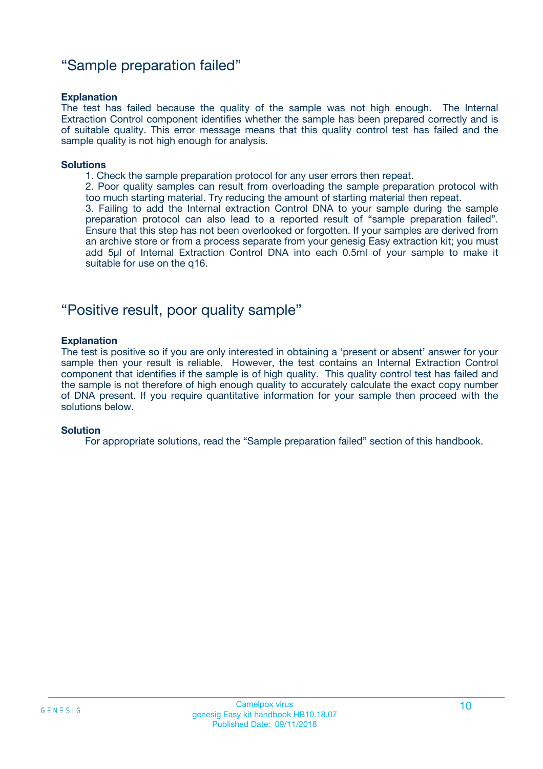### "Sample preparation failed"

#### **Explanation**

The test has failed because the quality of the sample was not high enough. The Internal Extraction Control component identifies whether the sample has been prepared correctly and is of suitable quality. This error message means that this quality control test has failed and the sample quality is not high enough for analysis.

#### **Solutions**

1. Check the sample preparation protocol for any user errors then repeat.

2. Poor quality samples can result from overloading the sample preparation protocol with too much starting material. Try reducing the amount of starting material then repeat.

3. Failing to add the Internal extraction Control DNA to your sample during the sample preparation protocol can also lead to a reported result of "sample preparation failed". Ensure that this step has not been overlooked or forgotten. If your samples are derived from an archive store or from a process separate from your genesig Easy extraction kit; you must add 5µl of Internal Extraction Control DNA into each 0.5ml of your sample to make it suitable for use on the q16.

### "Positive result, poor quality sample"

#### **Explanation**

The test is positive so if you are only interested in obtaining a 'present or absent' answer for your sample then your result is reliable. However, the test contains an Internal Extraction Control component that identifies if the sample is of high quality. This quality control test has failed and the sample is not therefore of high enough quality to accurately calculate the exact copy number of DNA present. If you require quantitative information for your sample then proceed with the solutions below.

#### **Solution**

For appropriate solutions, read the "Sample preparation failed" section of this handbook.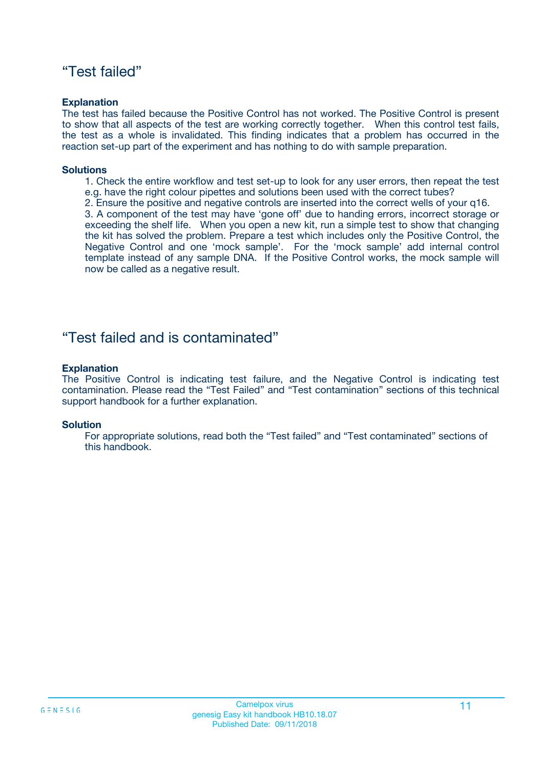### "Test failed"

#### **Explanation**

The test has failed because the Positive Control has not worked. The Positive Control is present to show that all aspects of the test are working correctly together. When this control test fails, the test as a whole is invalidated. This finding indicates that a problem has occurred in the reaction set-up part of the experiment and has nothing to do with sample preparation.

#### **Solutions**

- 1. Check the entire workflow and test set-up to look for any user errors, then repeat the test e.g. have the right colour pipettes and solutions been used with the correct tubes?
- 2. Ensure the positive and negative controls are inserted into the correct wells of your q16.

3. A component of the test may have 'gone off' due to handing errors, incorrect storage or exceeding the shelf life. When you open a new kit, run a simple test to show that changing the kit has solved the problem. Prepare a test which includes only the Positive Control, the Negative Control and one 'mock sample'. For the 'mock sample' add internal control template instead of any sample DNA. If the Positive Control works, the mock sample will now be called as a negative result.

### "Test failed and is contaminated"

#### **Explanation**

The Positive Control is indicating test failure, and the Negative Control is indicating test contamination. Please read the "Test Failed" and "Test contamination" sections of this technical support handbook for a further explanation.

#### **Solution**

For appropriate solutions, read both the "Test failed" and "Test contaminated" sections of this handbook.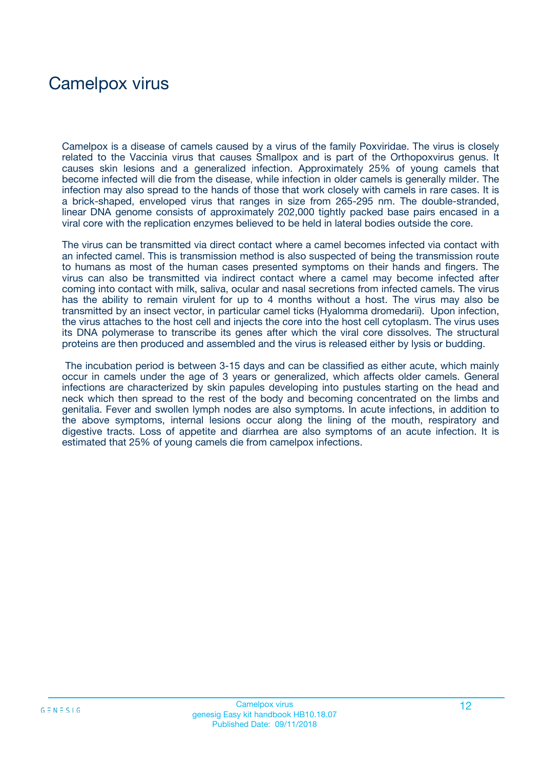## Camelpox virus

Camelpox is a disease of camels caused by a virus of the family Poxviridae. The virus is closely related to the Vaccinia virus that causes Smallpox and is part of the Orthopoxvirus genus. It causes skin lesions and a generalized infection. Approximately 25% of young camels that become infected will die from the disease, while infection in older camels is generally milder. The infection may also spread to the hands of those that work closely with camels in rare cases. It is a brick-shaped, enveloped virus that ranges in size from 265-295 nm. The double-stranded, linear DNA genome consists of approximately 202,000 tightly packed base pairs encased in a viral core with the replication enzymes believed to be held in lateral bodies outside the core.

The virus can be transmitted via direct contact where a camel becomes infected via contact with an infected camel. This is transmission method is also suspected of being the transmission route to humans as most of the human cases presented symptoms on their hands and fingers. The virus can also be transmitted via indirect contact where a camel may become infected after coming into contact with milk, saliva, ocular and nasal secretions from infected camels. The virus has the ability to remain virulent for up to 4 months without a host. The virus may also be transmitted by an insect vector, in particular camel ticks (Hyalomma dromedarii). Upon infection, the virus attaches to the host cell and injects the core into the host cell cytoplasm. The virus uses its DNA polymerase to transcribe its genes after which the viral core dissolves. The structural proteins are then produced and assembled and the virus is released either by lysis or budding.

The incubation period is between 3-15 days and can be classified as either acute, which mainly occur in camels under the age of 3 years or generalized, which affects older camels. General infections are characterized by skin papules developing into pustules starting on the head and neck which then spread to the rest of the body and becoming concentrated on the limbs and genitalia. Fever and swollen lymph nodes are also symptoms. In acute infections, in addition to the above symptoms, internal lesions occur along the lining of the mouth, respiratory and digestive tracts. Loss of appetite and diarrhea are also symptoms of an acute infection. It is estimated that 25% of young camels die from camelpox infections.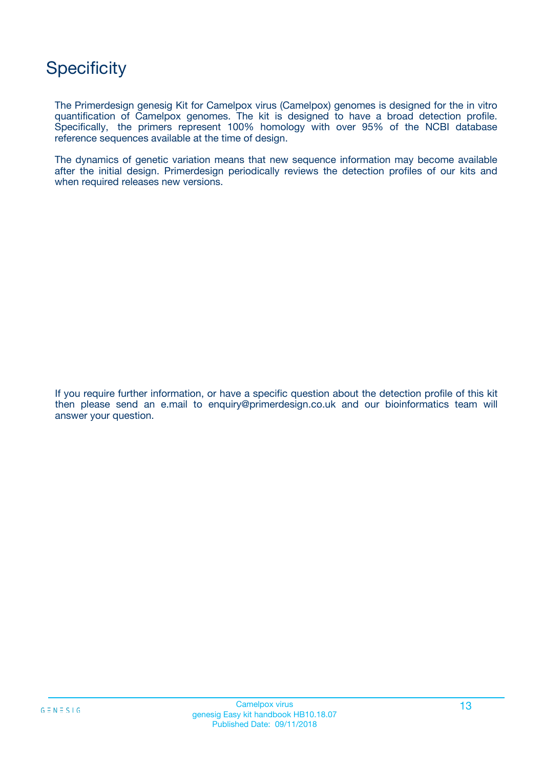## **Specificity**

The Primerdesign genesig Kit for Camelpox virus (Camelpox) genomes is designed for the in vitro quantification of Camelpox genomes. The kit is designed to have a broad detection profile. Specifically, the primers represent 100% homology with over 95% of the NCBI database reference sequences available at the time of design.

The dynamics of genetic variation means that new sequence information may become available after the initial design. Primerdesign periodically reviews the detection profiles of our kits and when required releases new versions.

If you require further information, or have a specific question about the detection profile of this kit then please send an e.mail to enquiry@primerdesign.co.uk and our bioinformatics team will answer your question.